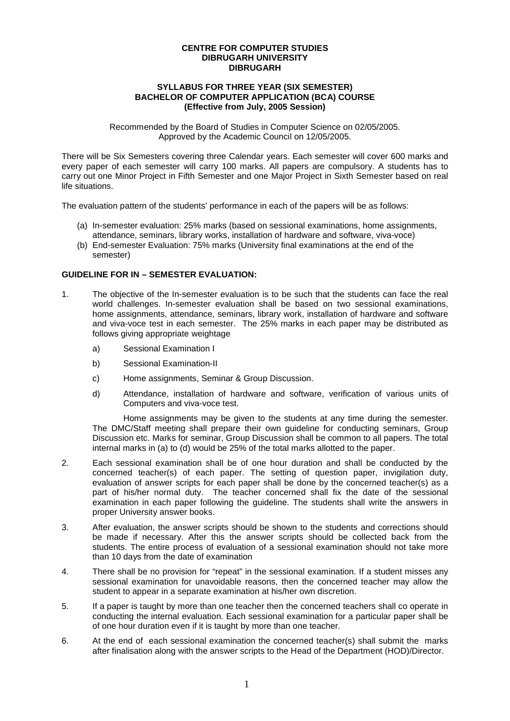#### **CENTRE FOR COMPUTER STUDIES DIBRUGARH UNIVERSITY DIBRUGARH**

#### **SYLLABUS FOR THREE YEAR (SIX SEMESTER) BACHELOR OF COMPUTER APPLICATION (BCA) COURSE (Effective from July, 2005 Session)**

Recommended by the Board of Studies in Computer Science on 02/05/2005. Approved by the Academic Council on 12/05/2005.

There will be Six Semesters covering three Calendar years. Each semester will cover 600 marks and every paper of each semester will carry 100 marks. All papers are compulsory. A students has to carry out one Minor Project in Fifth Semester and one Major Project in Sixth Semester based on real life situations.

The evaluation pattern of the students' performance in each of the papers will be as follows:

- (a) In-semester evaluation: 25% marks (based on sessional examinations, home assignments, attendance, seminars, library works, installation of hardware and software, viva-voce)
- (b) End-semester Evaluation: 75% marks (University final examinations at the end of the semester)

#### **GUIDELINE FOR IN – SEMESTER EVALUATION:**

- 1. The objective of the In-semester evaluation is to be such that the students can face the real world challenges. In-semester evaluation shall be based on two sessional examinations, home assignments, attendance, seminars, library work, installation of hardware and software and viva-voce test in each semester. The 25% marks in each paper may be distributed as follows giving appropriate weightage
	- a) Sessional Examination I
	- b) Sessional Examination-II
	- c) Home assignments, Seminar & Group Discussion.
	- d) Attendance, installation of hardware and software, verification of various units of Computers and viva-voce test.

Home assignments may be given to the students at any time during the semester. The DMC/Staff meeting shall prepare their own guideline for conducting seminars, Group Discussion etc. Marks for seminar, Group Discussion shall be common to all papers. The total internal marks in (a) to (d) would be 25% of the total marks allotted to the paper.

- 2. Each sessional examination shall be of one hour duration and shall be conducted by the concerned teacher(s) of each paper. The setting of question paper, invigilation duty, evaluation of answer scripts for each paper shall be done by the concerned teacher(s) as a part of his/her normal duty. The teacher concerned shall fix the date of the sessional examination in each paper following the guideline. The students shall write the answers in proper University answer books.
- 3. After evaluation, the answer scripts should be shown to the students and corrections should be made if necessary. After this the answer scripts should be collected back from the students. The entire process of evaluation of a sessional examination should not take more than 10 days from the date of examination
- 4. There shall be no provision for "repeat" in the sessional examination. If a student misses any sessional examination for unavoidable reasons, then the concerned teacher may allow the student to appear in a separate examination at his/her own discretion.
- 5. If a paper is taught by more than one teacher then the concerned teachers shall co operate in conducting the internal evaluation. Each sessional examination for a particular paper shall be of one hour duration even if it is taught by more than one teacher.
- 6. At the end of each sessional examination the concerned teacher(s) shall submit the marks after finalisation along with the answer scripts to the Head of the Department (HOD)/Director.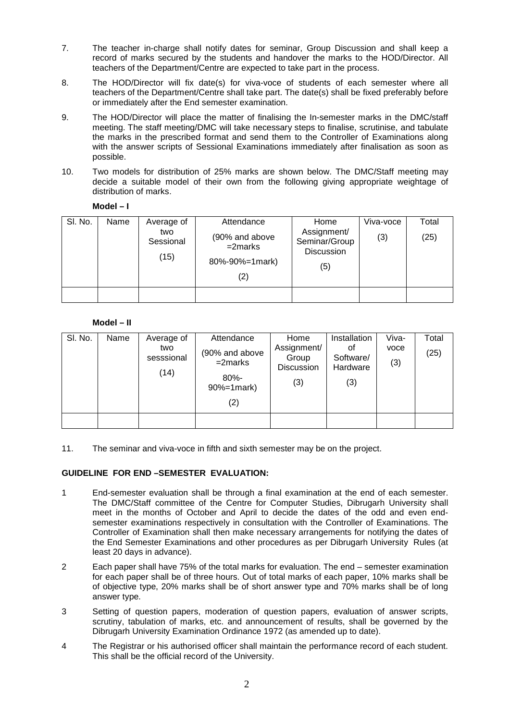- 7. The teacher in-charge shall notify dates for seminar, Group Discussion and shall keep a record of marks secured by the students and handover the marks to the HOD/Director. All teachers of the Department/Centre are expected to take part in the process.
- 8. The HOD/Director will fix date(s) for viva-voce of students of each semester where all teachers of the Department/Centre shall take part. The date(s) shall be fixed preferably before or immediately after the End semester examination.
- 9. The HOD/Director will place the matter of finalising the In-semester marks in the DMC/staff meeting. The staff meeting/DMC will take necessary steps to finalise, scrutinise, and tabulate the marks in the prescribed format and send them to the Controller of Examinations along with the answer scripts of Sessional Examinations immediately after finalisation as soon as possible.
- 10. Two models for distribution of 25% marks are shown below. The DMC/Staff meeting may decide a suitable model of their own from the following giving appropriate weightage of distribution of marks.

| Model |  |
|-------|--|
|-------|--|

| SI. No. | Name | Average of<br>two<br>Sessional<br>(15) | Attendance<br>(90% and above<br>$=2$ marks<br>80%-90%=1mark)<br>(2) | Home<br>Assignment/<br>Seminar/Group<br><b>Discussion</b><br>(5) | Viva-voce<br>(3) | Total<br>(25) |
|---------|------|----------------------------------------|---------------------------------------------------------------------|------------------------------------------------------------------|------------------|---------------|
|         |      |                                        |                                                                     |                                                                  |                  |               |

#### **Model – II**

| SI. No. | Name | Average of<br>two<br>sesssional<br>(14) | Attendance<br>(90% and above<br>$=2$ marks<br>$80% -$<br>90%=1mark)<br>(2) | Home<br>Assignment/<br>Group<br>Discussion<br>(3) | Installation<br>οt<br>Software/<br>Hardware<br>(3) | Viva-<br>voce<br>(3) | Total<br>(25) |
|---------|------|-----------------------------------------|----------------------------------------------------------------------------|---------------------------------------------------|----------------------------------------------------|----------------------|---------------|
|         |      |                                         |                                                                            |                                                   |                                                    |                      |               |

11. The seminar and viva-voce in fifth and sixth semester may be on the project.

#### **GUIDELINE FOR END –SEMESTER EVALUATION:**

- 1 End-semester evaluation shall be through a final examination at the end of each semester. The DMC/Staff committee of the Centre for Computer Studies, Dibrugarh University shall meet in the months of October and April to decide the dates of the odd and even endsemester examinations respectively in consultation with the Controller of Examinations. The Controller of Examination shall then make necessary arrangements for notifying the dates of the End Semester Examinations and other procedures as per Dibrugarh University Rules (at least 20 days in advance).
- 2 Each paper shall have 75% of the total marks for evaluation. The end semester examination for each paper shall be of three hours. Out of total marks of each paper, 10% marks shall be of objective type, 20% marks shall be of short answer type and 70% marks shall be of long answer type.
- 3 Setting of question papers, moderation of question papers, evaluation of answer scripts, scrutiny, tabulation of marks, etc. and announcement of results, shall be governed by the Dibrugarh University Examination Ordinance 1972 (as amended up to date).
- 4 The Registrar or his authorised officer shall maintain the performance record of each student. This shall be the official record of the University.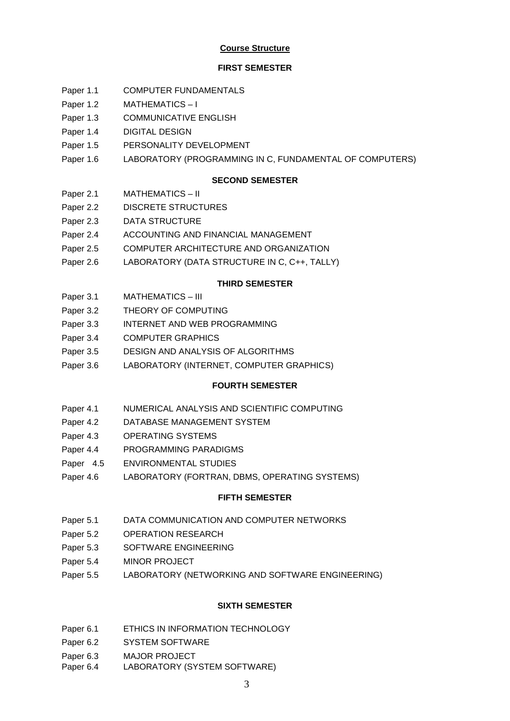### **Course Structure**

### **FIRST SEMESTER**

- Paper 1.1 COMPUTER FUNDAMENTALS
- Paper 1.2 MATHEMATICS I
- Paper 1.3 COMMUNICATIVE ENGLISH
- Paper 1.4 DIGITAL DESIGN
- Paper 1.5 PERSONALITY DEVELOPMENT
- Paper 1.6 LABORATORY (PROGRAMMING IN C, FUNDAMENTAL OF COMPUTERS)

### **SECOND SEMESTER**

- Paper 2.1 MATHEMATICS II
- Paper 2.2 DISCRETE STRUCTURES
- Paper 2.3 DATA STRUCTURE
- Paper 2.4 ACCOUNTING AND FINANCIAL MANAGEMENT
- Paper 2.5 COMPUTER ARCHITECTURE AND ORGANIZATION
- Paper 2.6 LABORATORY (DATA STRUCTURE IN C, C++, TALLY)

### **THIRD SEMESTER**

- Paper 3.1 MATHEMATICS III
- Paper 3.2 THEORY OF COMPUTING
- Paper 3.3 INTERNET AND WEB PROGRAMMING
- Paper 3.4 COMPUTER GRAPHICS
- Paper 3.5 DESIGN AND ANALYSIS OF ALGORITHMS
- Paper 3.6 LABORATORY (INTERNET, COMPUTER GRAPHICS)

### **FOURTH SEMESTER**

- Paper 4.1 NUMERICAL ANALYSIS AND SCIENTIFIC COMPUTING
- Paper 4.2 DATABASE MANAGEMENT SYSTEM
- Paper 4.3 OPERATING SYSTEMS
- Paper 4.4 PROGRAMMING PARADIGMS
- Paper 4.5 ENVIRONMENTAL STUDIES
- Paper 4.6 LABORATORY (FORTRAN, DBMS, OPERATING SYSTEMS)

### **FIFTH SEMESTER**

- Paper 5.1 DATA COMMUNICATION AND COMPUTER NETWORKS
- Paper 5.2 OPERATION RESEARCH
- Paper 5.3 SOFTWARE ENGINEERING
- Paper 5.4 MINOR PROJECT
- Paper 5.5 LABORATORY (NETWORKING AND SOFTWARE ENGINEERING)

### **SIXTH SEMESTER**

- Paper 6.1 ETHICS IN INFORMATION TECHNOLOGY
- Paper 6.2 SYSTEM SOFTWARE
- Paper 6.3 MAJOR PROJECT
- Paper 6.4 LABORATORY (SYSTEM SOFTWARE)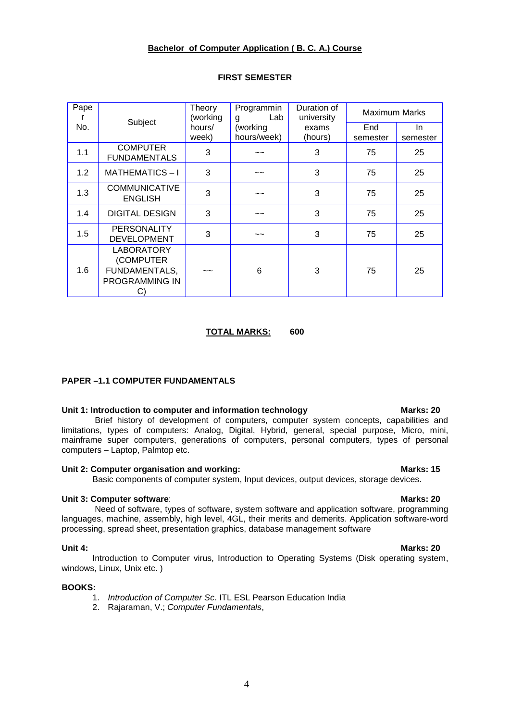### **Bachelor of Computer Application ( B. C. A.) Course**

| Pape | Subject                                                                 | Theory<br>(working | Programmin<br>Lab<br>g | Duration of<br>university | <b>Maximum Marks</b> |          |
|------|-------------------------------------------------------------------------|--------------------|------------------------|---------------------------|----------------------|----------|
| No.  |                                                                         | hours/             | (working               | exams                     | End                  | In.      |
|      |                                                                         | week)              | hours/week)            | (hours)                   | semester             | semester |
| 1.1  | <b>COMPUTER</b><br><b>FUNDAMENTALS</b>                                  | 3                  | $\sim$ $\sim$          | 3                         | 75                   | 25       |
| 1.2  | <b>MATHEMATICS-I</b>                                                    | 3                  | $\tilde{}$             | 3                         | 75                   | 25       |
| 1.3  | <b>COMMUNICATIVE</b><br><b>ENGLISH</b>                                  | 3                  | $\sim$                 | 3                         | 75                   | 25       |
| 1.4  | <b>DIGITAL DESIGN</b>                                                   | 3                  | $\sim$ $\sim$          | 3                         | 75                   | 25       |
| 1.5  | <b>PERSONALITY</b><br><b>DEVELOPMENT</b>                                | 3                  | $\sim$                 | 3                         | 75                   | 25       |
| 1.6  | <b>LABORATORY</b><br>(COMPUTER<br>FUNDAMENTALS,<br>PROGRAMMING IN<br>C) | $\sim$             | 6                      | 3                         | 75                   | 25       |

#### **FIRST SEMESTER**

#### **TOTAL MARKS: 600**

#### **PAPER –1.1 COMPUTER FUNDAMENTALS**

#### Unit 1: Introduction to computer and information technology **Marks: 20**

 Brief history of development of computers, computer system concepts, capabilities and limitations, types of computers: Analog, Digital, Hybrid, general, special purpose, Micro, mini, mainframe super computers, generations of computers, personal computers, types of personal computers – Laptop, Palmtop etc.

### Unit 2: Computer organisation and working: Marks: 15

Basic components of computer system, Input devices, output devices, storage devices.

#### **Unit 3: Computer software: Marks: 20**

 Need of software, types of software, system software and application software, programming languages, machine, assembly, high level, 4GL, their merits and demerits. Application software-word processing, spread sheet, presentation graphics, database management software

Introduction to Computer virus, Introduction to Operating Systems (Disk operating system, windows, Linux, Unix etc. )

#### **BOOKS:**

- 1. *Introduction of Computer Sc*. ITL ESL Pearson Education India
- 2. Rajaraman, V.; *Computer Fundamentals*,

### **Unit 4: Marks: 20**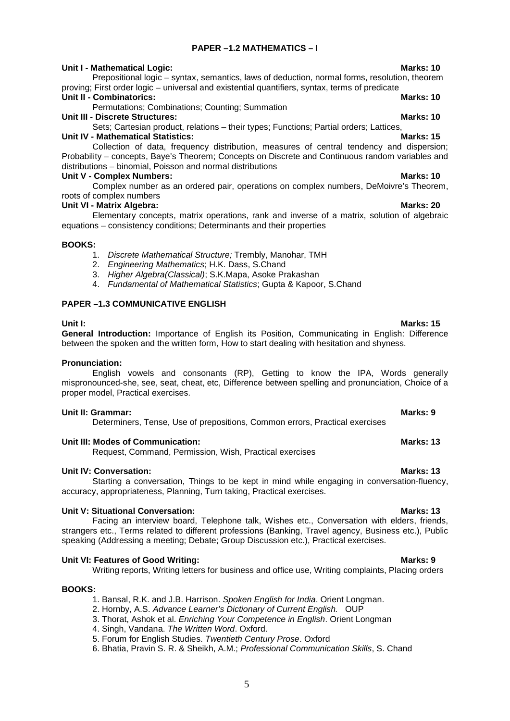### **PAPER –1.2 MATHEMATICS – I**

#### **Unit I - Mathematical Logic:** Mathematical Computer of Marks: 10

Prepositional logic – syntax, semantics, laws of deduction, normal forms, resolution, theorem proving; First order logic – universal and existential quantifiers, syntax, terms of predicate

#### **Unit II - Combinatorics: Marks: 10**

Permutations; Combinations; Counting; Summation

**Unit III - Discrete Structures: Marks: 10**

Sets; Cartesian product, relations – their types; Functions; Partial orders; Lattices, **Unit IV - Mathematical Statistics:** Marks: 15

Collection of data, frequency distribution, measures of central tendency and dispersion; Probability – concepts, Baye's Theorem; Concepts on Discrete and Continuous random variables and distributions – binomial, Poisson and normal distributions

#### **Unit V - Complex Numbers:** Marks: 10 **Marks: 10**

Complex number as an ordered pair, operations on complex numbers, DeMoivre's Theorem, roots of complex numbers

### **Unit VI - Matrix Algebra: Marks: 20**

Elementary concepts, matrix operations, rank and inverse of a matrix, solution of algebraic equations – consistency conditions; Determinants and their properties

#### **BOOKS:**

- 1. *Discrete Mathematical Structure;* Trembly, Manohar, TMH
- 2. *Engineering Mathematics*; H.K. Dass, S.Chand
- 3. *Higher Algebra(Classical)*; S.K.Mapa, Asoke Prakashan
- 4. *Fundamental of Mathematical Statistics*; Gupta & Kapoor, S.Chand

#### **PAPER –1.3 COMMUNICATIVE ENGLISH**

**Unit I: Marks: 15 General Introduction:** Importance of English its Position, Communicating in English: Difference between the spoken and the written form, How to start dealing with hesitation and shyness.

#### **Pronunciation:**

English vowels and consonants (RP), Getting to know the IPA, Words generally mispronounced-she, see, seat, cheat, etc, Difference between spelling and pronunciation, Choice of a proper model, Practical exercises.

#### **Unit II: Grammar:** Marks: 9 **Marks: 9 Marks: 9**

Determiners, Tense, Use of prepositions, Common errors, Practical exercises

#### Unit III: Modes of Communication: **Marks: 13** Marks: 13

Request, Command, Permission, Wish, Practical exercises

accuracy, appropriateness, Planning, Turn taking, Practical exercises.

#### **Unit IV: Conversation: Marks: 13**

Unit V: Situational Conversation: **Marks: 13** Facing an interview board, Telephone talk, Wishes etc., Conversation with elders, friends, strangers etc., Terms related to different professions (Banking, Travel agency, Business etc.), Public speaking (Addressing a meeting; Debate; Group Discussion etc.), Practical exercises.

### **Unit VI: Features of Good Writing: Marks: 9**

Writing reports, Writing letters for business and office use, Writing complaints, Placing orders

Starting a conversation, Things to be kept in mind while engaging in conversation-fluency,

#### **BOOKS:**

1. Bansal, R.K. and J.B. Harrison. *Spoken English for India*. Orient Longman.

- 2. Hornby, A.S. *Advance Learner's Dictionary of Current English.* OUP
- 3. Thorat, Ashok et al. *Enriching Your Competence in English*. Orient Longman
- 4. Singh, Vandana. *The Written Word*. Oxford.
- 5. Forum for English Studies. *Twentieth Century Prose*. Oxford
- 6. Bhatia, Pravin S. R. & Sheikh, A.M.; *Professional Communication Skills*, S. Chand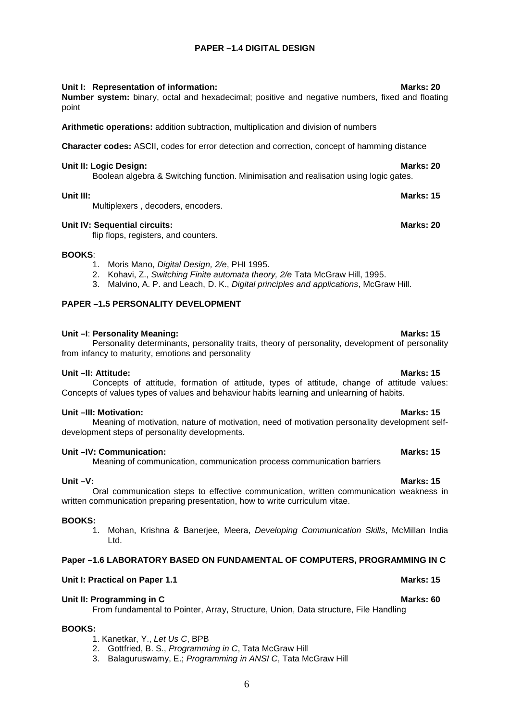### **PAPER –1.4 DIGITAL DESIGN**

#### **Unit I: Representation of information: Marks: 20**

**Number system:** binary, octal and hexadecimal; positive and negative numbers, fixed and floating point

**Arithmetic operations:** addition subtraction, multiplication and division of numbers

**Character codes:** ASCII, codes for error detection and correction, concept of hamming distance

#### **Unit II: Logic Design: Marks: 20**

Boolean algebra & Switching function. Minimisation and realisation using logic gates.

#### **Unit III: Marks: 15**

Multiplexers , decoders, encoders.

#### **Unit IV: Sequential circuits: Marks: 20**

flip flops, registers, and counters.

#### **BOOKS**:

- 1. Moris Mano, *Digital Design, 2/e*, PHI 1995.
- 2. Kohavi, Z., *Switching Finite automata theory, 2/e* Tata McGraw Hill, 1995.
- 3. Malvino, A. P. and Leach, D. K., *Digital principles and applications*, McGraw Hill.

#### **PAPER –1.5 PERSONALITY DEVELOPMENT**

#### **Unit –I: Personality Meaning: Marks: 15 Marks: 15**

Personality determinants, personality traits, theory of personality, development of personality from infancy to maturity, emotions and personality

#### **Unit –II: Attitude: Marks: 15**

#### Concepts of attitude, formation of attitude, types of attitude, change of attitude values: Concepts of values types of values and behaviour habits learning and unlearning of habits.

#### **Unit –III: Motivation: Marks: 15**

Meaning of motivation, nature of motivation, need of motivation personality development selfdevelopment steps of personality developments.

#### **Unit –IV: Communication: Marks: 15**

Meaning of communication, communication process communication barriers

#### **Unit –V: Marks: 15**

Oral communication steps to effective communication, written communication weakness in written communication preparing presentation, how to write curriculum vitae.

#### **BOOKS:**

1. Mohan, Krishna & Banerjee, Meera, *Developing Communication Skills*, McMillan India Ltd.

#### **Paper –1.6 LABORATORY BASED ON FUNDAMENTAL OF COMPUTERS, PROGRAMMING IN C**

### **Unit I: Practical on Paper 1.1** Marks: 15

#### **Unit II: Programming in C Marks: 60**

From fundamental to Pointer, Array, Structure, Union, Data structure, File Handling

#### **BOOKS:**

- 1. Kanetkar, Y., *Let Us C*, BPB
- 2. Gottfried, B. S., *Programming in C*, Tata McGraw Hill
- 3. Balaguruswamy, E.; *Programming in ANSI C*, Tata McGraw Hill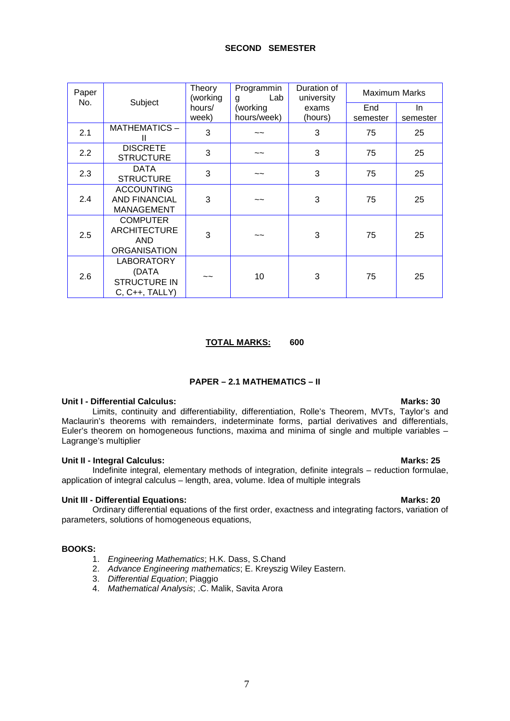| Paper |                                                                       | Theory<br>(working | Programmin<br>Lab<br>g    | Duration of<br>university | Maximum Marks   |                |
|-------|-----------------------------------------------------------------------|--------------------|---------------------------|---------------------------|-----------------|----------------|
| No.   | Subject                                                               | hours/<br>week)    | (working<br>hours/week)   | exams<br>(hours)          | End<br>semester | In<br>semester |
| 2.1   | MATHEMATICS-<br>Ш                                                     | 3                  | ~~                        | 3                         | 75              | 25             |
| 2.2   | <b>DISCRETE</b><br><b>STRUCTURE</b>                                   | 3                  | $\widetilde{\phantom{a}}$ | 3                         | 75              | 25             |
| 2.3   | <b>DATA</b><br><b>STRUCTURE</b>                                       | 3                  | ~~                        | 3                         | 75              | 25             |
| 2.4   | <b>ACCOUNTING</b><br><b>AND FINANCIAL</b><br><b>MANAGEMENT</b>        | 3                  | ~~                        | 3                         | 75              | 25             |
| 2.5   | <b>COMPUTER</b><br><b>ARCHITECTURE</b><br>AND<br><b>ORGANISATION</b>  | 3                  | ~~                        | 3                         | 75              | 25             |
| 2.6   | <b>LABORATORY</b><br>(DATA<br><b>STRUCTURE IN</b><br>$C, C++, TALLY)$ | $\sim$ $\sim$      | 10                        | 3                         | 75              | 25             |

#### **TOTAL MARKS: 600**

### **PAPER – 2.1 MATHEMATICS – II**

#### **Unit I - Differential Calculus: We are also assigned to the contract of the Marks: 30**

Limits, continuity and differentiability, differentiation, Rolle's Theorem, MVTs, Taylor's and Maclaurin's theorems with remainders, indeterminate forms, partial derivatives and differentials, Euler's theorem on homogeneous functions, maxima and minima of single and multiple variables – Lagrange's multiplier

#### **Unit II - Integral Calculus: Marks: 25**

Indefinite integral, elementary methods of integration, definite integrals – reduction formulae, application of integral calculus – length, area, volume. Idea of multiple integrals

#### **Unit III - Differential Equations: Marks: 20**

Ordinary differential equations of the first order, exactness and integrating factors, variation of parameters, solutions of homogeneous equations,

#### **BOOKS:**

- 1. *Engineering Mathematics*; H.K. Dass, S.Chand
- 2. *Advance Engineering mathematics*; E. Kreyszig Wiley Eastern.
- 3. *Differential Equation*; Piaggio
- 4. *Mathematical Analysis*; .C. Malik, Savita Arora

7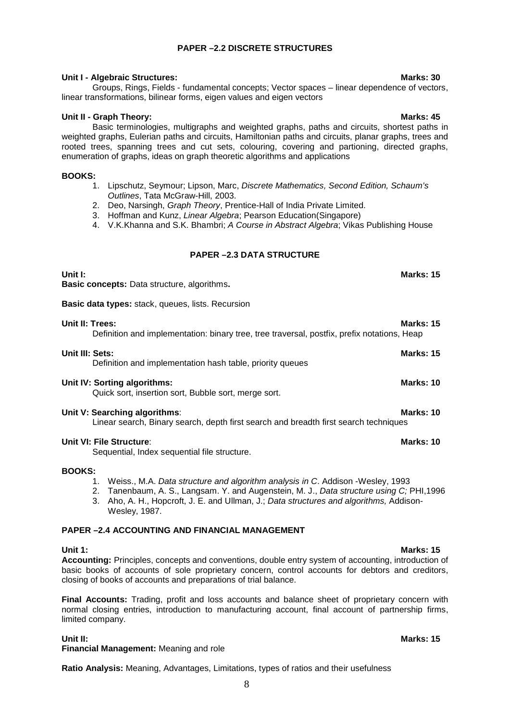### **PAPER –2.2 DISCRETE STRUCTURES**

### **Unit I - Algebraic Structures: Marks: 30**

Groups, Rings, Fields - fundamental concepts; Vector spaces – linear dependence of vectors, linear transformations, bilinear forms, eigen values and eigen vectors

#### **Unit II - Graph Theory: Marks: 45**

Basic terminologies, multigraphs and weighted graphs, paths and circuits, shortest paths in weighted graphs, Eulerian paths and circuits, Hamiltonian paths and circuits, planar graphs, trees and rooted trees, spanning trees and cut sets, colouring, covering and partioning, directed graphs, enumeration of graphs, ideas on graph theoretic algorithms and applications

#### **BOOKS:**

- 1. Lipschutz, Seymour; Lipson, Marc, *Discrete Mathematics, Second Edition, Schaum's Outlines*, Tata McGraw-Hill, 2003.
- 2. Deo, Narsingh, *Graph Theory*, Prentice-Hall of India Private Limited.
- 3. Hoffman and Kunz, *Linear Algebra*; Pearson Education(Singapore)
- 4. V.K.Khanna and S.K. Bhambri; *A Course in Abstract Algebra*; Vikas Publishing House

### **PAPER –2.3 DATA STRUCTURE**

**Basic data types:** stack, queues, lists. Recursion

**Basic concepts:** Data structure, algorithms**.**

| Unit II: Trees: | Definition and implementation: binary tree, tree traversal, postfix, prefix notations, Heap                           | <b>Marks: 15</b> |
|-----------------|-----------------------------------------------------------------------------------------------------------------------|------------------|
| Unit III: Sets: | Definition and implementation hash table, priority queues                                                             | <b>Marks: 15</b> |
|                 | Unit IV: Sorting algorithms:<br>Quick sort, insertion sort, Bubble sort, merge sort.                                  | Marks: 10        |
|                 | Unit V: Searching algorithms:<br>Linear search, Binary search, depth first search and breadth first search techniques | Marks: 10        |
|                 | Unit VI: File Structure:                                                                                              | Marks: 10        |

Sequential, Index sequential file structure.

#### **BOOKS:**

- 1. Weiss., M.A. *Data structure and algorithm analysis in C*. Addison -Wesley, 1993
- 2. Tanenbaum, A. S., Langsam. Y. and Augenstein, M. J., *Data structure using C;* PHI,1996
- 3. Aho, A. H., Hopcroft, J. E. and Ullman, J.; *Data structures and algorithms,* Addison-Wesley, 1987.

### **PAPER –2.4 ACCOUNTING AND FINANCIAL MANAGEMENT**

#### **Unit 1: Marks: 15**

**Accounting:** Principles, concepts and conventions, double entry system of accounting, introduction of basic books of accounts of sole proprietary concern, control accounts for debtors and creditors, closing of books of accounts and preparations of trial balance.

**Final Accounts:** Trading, profit and loss accounts and balance sheet of proprietary concern with normal closing entries, introduction to manufacturing account, final account of partnership firms, limited company.

**Financial Management:** Meaning and role

**Ratio Analysis:** Meaning, Advantages, Limitations, types of ratios and their usefulness

## **Unit I: Marks: 15**

**Unit II: Marks: 15**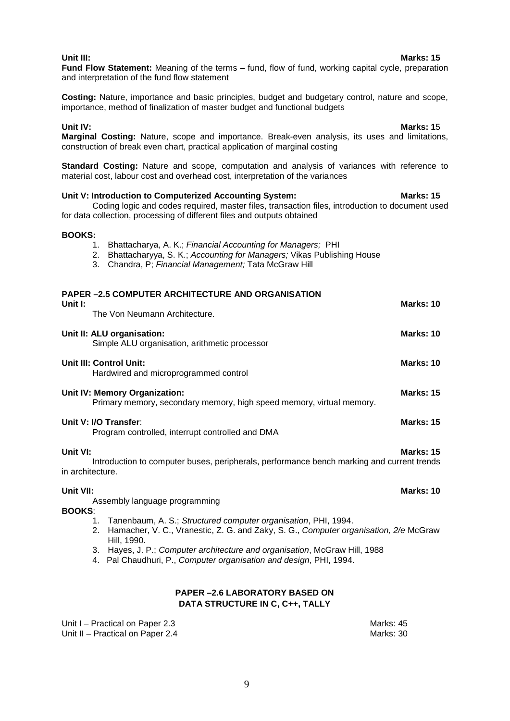# **PAPER –2.5 COMPUTER ARCHITECTURE AND ORGANISATION Unit I: Marks: 10** The Von Neumann Architecture. **Unit II: ALU organisation: Marks: 10** Simple ALU organisation, arithmetic processor Hardwired and microprogrammed control

**Costing:** Nature, importance and basic principles, budget and budgetary control, nature and scope, importance, method of finalization of master budget and functional budgets

**Unit IV: Marks: 1**5 **Marginal Costing:** Nature, scope and importance. Break-even analysis, its uses and limitations, construction of break even chart, practical application of marginal costing

**Fund Flow Statement:** Meaning of the terms – fund, flow of fund, working capital cycle, preparation

**Standard Costing:** Nature and scope, computation and analysis of variances with reference to material cost, labour cost and overhead cost, interpretation of the variances

### **Unit V: Introduction to Computerized Accounting System: Marks: 15**

and interpretation of the fund flow statement

Coding logic and codes required, master files, transaction files, introduction to document used for data collection, processing of different files and outputs obtained

#### **BOOKS:**

- 1. Bhattacharya, A. K.; *Financial Accounting for Managers;* PHI
- 2. Bhattacharyya, S. K.; *Accounting for Managers;* Vikas Publishing House
- 3. Chandra, P; *Financial Management;* Tata McGraw Hill
- **Unit III: Control Unit: Marks: 10 Unit IV: Memory Organization: Marks: 15** Primary memory, secondary memory, high speed memory, virtual memory. **Unit V: I/O Transfer: Marks: 15** Program controlled, interrupt controlled and DMA **Unit VI: Marks: 15** Introduction to computer buses, peripherals, performance bench marking and current trends in architecture. **Unit VII: Marks: 10** Assembly language programming **BOOKS**: 1. Tanenbaum, A. S.; *Structured computer organisation*, PHI, 1994. 2. Hamacher, V. C., Vranestic, Z. G. and Zaky, S. G., *Computer organisation, 2/e* McGraw Hill, 1990. 3. Hayes, J. P.; *Computer architecture and organisation*, McGraw Hill, 1988
	- 4. Pal Chaudhuri, P., *Computer organisation and design*, PHI, 1994.

#### **PAPER –2.6 LABORATORY BASED ON DATA STRUCTURE IN C, C++, TALLY**

Unit I – Practical on Paper 2.3<br>
Unit II – Practical on Paper 2.4 Marks: 30 Unit II – Practical on Paper 2.4

### **Unit III: Marks: 15**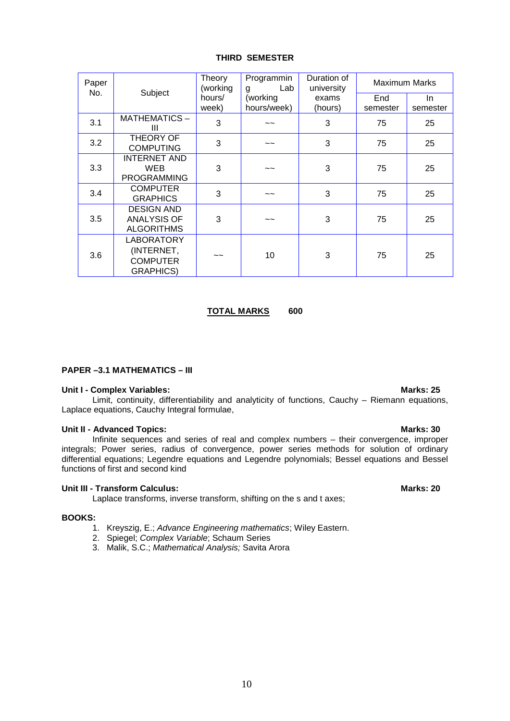#### **THIRD SEMESTER**

| Paper |                                                                         | Theory<br>(working | Programmin<br>Lab<br>g | Duration of<br>university | <b>Maximum Marks</b> |          |
|-------|-------------------------------------------------------------------------|--------------------|------------------------|---------------------------|----------------------|----------|
| No.   | Subject                                                                 | hours/             | (working               | exams                     | End                  | In.      |
|       |                                                                         | week)              | hours/week)            | (hours)                   | semester             | semester |
| 3.1   | MATHEMATICS-<br>Ш                                                       | 3                  | ~~                     | 3                         | 75                   | 25       |
| 3.2   | THEORY OF<br><b>COMPUTING</b>                                           | 3                  | ~~                     | 3                         | 75                   | 25       |
| 3.3   | <b>INTERNET AND</b><br><b>WEB</b><br><b>PROGRAMMING</b>                 | 3                  | ~~                     | 3                         | 75                   | 25       |
| 3.4   | <b>COMPUTER</b><br><b>GRAPHICS</b>                                      | 3                  | ~~                     | 3                         | 75                   | 25       |
| 3.5   | <b>DESIGN AND</b><br><b>ANALYSIS OF</b><br><b>ALGORITHMS</b>            | 3                  | ~~                     | 3                         | 75                   | 25       |
| 3.6   | <b>LABORATORY</b><br>(INTERNET,<br><b>COMPUTER</b><br><b>GRAPHICS</b> ) |                    | 10                     | 3                         | 75                   | 25       |

### **TOTAL MARKS 600**

#### **PAPER –3.1 MATHEMATICS – III**

#### **Unit I - Complex Variables: Marks: 25**

Limit, continuity, differentiability and analyticity of functions, Cauchy – Riemann equations, Laplace equations, Cauchy Integral formulae,

#### **Unit II - Advanced Topics: Marks: 30**

Infinite sequences and series of real and complex numbers – their convergence, improper integrals; Power series, radius of convergence, power series methods for solution of ordinary differential equations; Legendre equations and Legendre polynomials; Bessel equations and Bessel functions of first and second kind

#### **Unit III - Transform Calculus: Marks: 20**

Laplace transforms, inverse transform, shifting on the s and t axes;

#### **BOOKS:**

- 1. Kreyszig, E.; *Advance Engineering mathematics*; Wiley Eastern.
- 2. Spiegel; *Complex Variable*; Schaum Series
- 3. Malik, S.C.; *Mathematical Analysis;* Savita Arora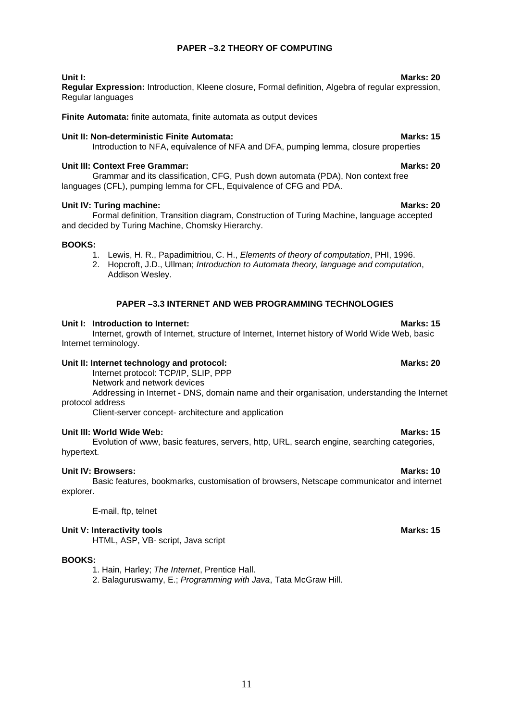### **PAPER –3.2 THEORY OF COMPUTING**

**Regular Expression:** Introduction, Kleene closure, Formal definition, Algebra of regular expression, Regular languages

**Finite Automata:** finite automata, finite automata as output devices

### **Unit II: Non-deterministic Finite Automata: <br>
<b>Marks: 15**

Introduction to NFA, equivalence of NFA and DFA, pumping lemma, closure properties

### **Unit III: Context Free Grammar: Marks: 20**

Grammar and its classification, CFG, Push down automata (PDA), Non context free languages (CFL), pumping lemma for CFL, Equivalence of CFG and PDA.

### **Unit IV: Turing machine: Marks: 20**

Formal definition, Transition diagram, Construction of Turing Machine, language accepted and decided by Turing Machine, Chomsky Hierarchy.

### **BOOKS:**

- 1. Lewis, H. R., Papadimitriou, C. H., *Elements of theory of computation*, PHI, 1996.
- 2. Hopcroft, J.D., Ullman; *Introduction to Automata theory, language and computation*, Addison Wesley.

### **PAPER –3.3 INTERNET AND WEB PROGRAMMING TECHNOLOGIES**

### **Unit I: Introduction to Internet: Marks: 15 Marks: 15 Marks: 15**

Internet, growth of Internet, structure of Internet, Internet history of World Wide Web, basic Internet terminology.

### **Unit II: Internet technology and protocol: Marks: 20 Marks: 20**

Internet protocol: TCP/IP, SLIP, PPP

Network and network devices

Addressing in Internet - DNS, domain name and their organisation, understanding the Internet protocol address

Client-server concept- architecture and application

### **Unit III: World Wide Web: Marks: 15**

Evolution of www, basic features, servers, http, URL, search engine, searching categories, hypertext.

### **Unit IV: Browsers: Marks: 10**

Basic features, bookmarks, customisation of browsers, Netscape communicator and internet explorer.

E-mail, ftp, telnet

### **Unit V: Interactivity tools Marks: 15**

HTML, ASP, VB- script, Java script

#### **BOOKS:**

1. Hain, Harley; *The Internet*, Prentice Hall.

2. Balaguruswamy, E.; *Programming with Java*, Tata McGraw Hill.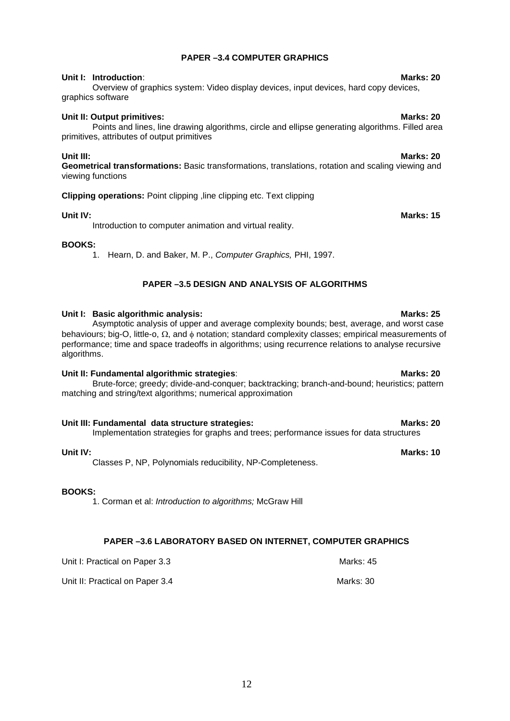### **PAPER –3.4 COMPUTER GRAPHICS**

### **Unit I: Introduction**: **Marks: 20**

Overview of graphics system: Video display devices, input devices, hard copy devices, graphics software

### **Unit II: Output primitives:** Marks: 20

Points and lines, line drawing algorithms, circle and ellipse generating algorithms. Filled area primitives, attributes of output primitives

**Unit III: Marks: 20 Geometrical transformations:** Basic transformations, translations, rotation and scaling viewing and viewing functions

### **Clipping operations:** Point clipping ,line clipping etc. Text clipping

### **Unit IV:** Marks: 15

Introduction to computer animation and virtual reality.

### **BOOKS:**

1. Hearn, D. and Baker, M. P., *Computer Graphics,* PHI, 1997.

### **PAPER –3.5 DESIGN AND ANALYSIS OF ALGORITHMS**

### Unit I: Basic algorithmic analysis: **Marks: 25** Marks: 25

Asymptotic analysis of upper and average complexity bounds; best, average, and worst case behaviours; big-O, little-o,  $\Omega$ , and  $\phi$  notation; standard complexity classes; empirical measurements of performance; time and space tradeoffs in algorithms; using recurrence relations to analyse recursive algorithms.

### **Unit II: Fundamental algorithmic strategies: Marks: 20 Marks: 20 Marks: 20**

Brute-force; greedy; divide-and-conquer; backtracking; branch-and-bound; heuristics; pattern matching and string/text algorithms; numerical approximation

#### **Unit III: Fundamental data structure strategies: The Contract of Marks: 20 Marks: 20**

Implementation strategies for graphs and trees; performance issues for data structures

### **Unit IV: Marks: 10**

Classes P, NP, Polynomials reducibility, NP-Completeness.

#### **BOOKS:**

1. Corman et al: *Introduction to algorithms;* McGraw Hill

### **PAPER –3.6 LABORATORY BASED ON INTERNET, COMPUTER GRAPHICS**

Unit I: Practical on Paper 3.3 Marks: 45

Unit II: Practical on Paper 3.4 Marks: 30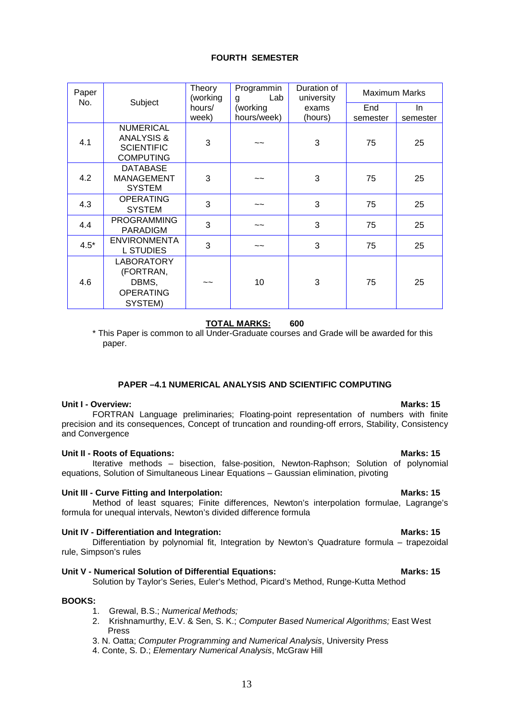#### **FOURTH SEMESTER**

| Paper  |                                                                                    | Theory<br>(working | Programmin<br>Lab<br>g | Duration of<br>university | Maximum Marks |          |
|--------|------------------------------------------------------------------------------------|--------------------|------------------------|---------------------------|---------------|----------|
| No.    | Subject                                                                            | hours/             | (working               | exams                     | End           | In.      |
|        |                                                                                    | week)              | hours/week)            | (hours)                   | semester      | semester |
| 4.1    | <b>NUMERICAL</b><br><b>ANALYSIS &amp;</b><br><b>SCIENTIFIC</b><br><b>COMPUTING</b> | 3                  | $\sim$ $\sim$          | 3                         | 75            | 25       |
| 4.2    | <b>DATABASE</b><br><b>MANAGEMENT</b><br><b>SYSTEM</b>                              | 3                  | $\sim$ $\sim$          | 3                         | 75            | 25       |
| 4.3    | <b>OPERATING</b><br><b>SYSTEM</b>                                                  | 3                  | $\sim$                 | 3                         | 75            | 25       |
| 4.4    | <b>PROGRAMMING</b><br><b>PARADIGM</b>                                              | 3                  | $\sim$ $\sim$          | 3                         | 75            | 25       |
| $4.5*$ | <b>ENVIRONMENTA</b><br><b>L STUDIES</b>                                            | 3                  | $\tilde{}$             | 3                         | 75            | 25       |
| 4.6    | <b>LABORATORY</b><br>(FORTRAN,<br>DBMS,<br><b>OPERATING</b><br>SYSTEM)             | ~~                 | 10                     | 3                         | 75            | 25       |

### **TOTAL MARKS: 600**

\* This Paper is common to all Under-Graduate courses and Grade will be awarded for this paper.

#### **PAPER –4.1 NUMERICAL ANALYSIS AND SCIENTIFIC COMPUTING**

#### **Unit I - Overview: Marks: 15**

FORTRAN Language preliminaries; Floating-point representation of numbers with finite precision and its consequences, Concept of truncation and rounding-off errors, Stability, Consistency and Convergence

#### **Unit II - Roots of Equations: Marks: 15**

Iterative methods – bisection, false-position, Newton-Raphson; Solution of polynomial equations, Solution of Simultaneous Linear Equations – Gaussian elimination, pivoting

#### Unit III - Curve Fitting and Interpolation: **Marks: 15** Marks: 15

#### Method of least squares; Finite differences, Newton's interpolation formulae, Lagrange's formula for unequal intervals, Newton's divided difference formula

#### **Unit IV - Differentiation and Integration:** Marks: 15

Differentiation by polynomial fit, Integration by Newton's Quadrature formula – trapezoidal rule, Simpson's rules

#### **Unit V - Numerical Solution of Differential Equations: Marks: 15** Marks: 15

Solution by Taylor's Series, Euler's Method, Picard's Method, Runge-Kutta Method

### **BOOKS:**

- 1. Grewal, B.S.; *Numerical Methods;*
- 2. Krishnamurthy, E.V. & Sen, S. K.; *Computer Based Numerical Algorithms;* East West Press
- 3. N. Oatta; *Computer Programming and Numerical Analysis*, University Press
- 4. Conte, S. D.; *Elementary Numerical Analysis*, McGraw Hill

### 13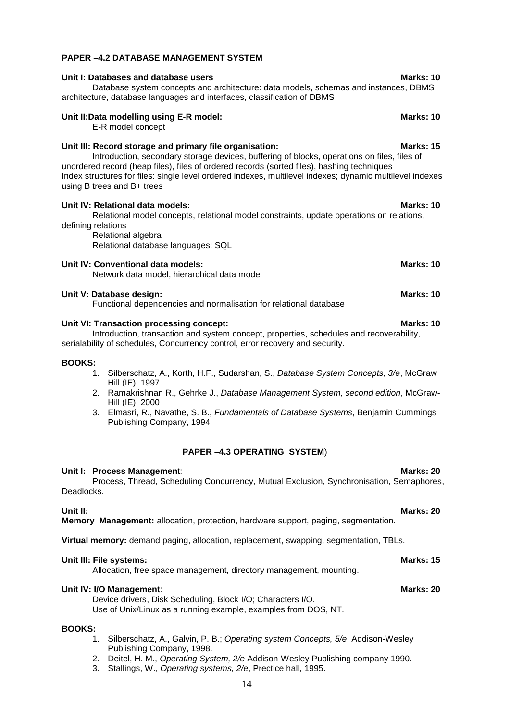#### **PAPER –4.2 DATABASE MANAGEMENT SYSTEM**

### **Unit I: Databases and database users Marks: 10** Database system concepts and architecture: data models, schemas and instances, DBMS architecture, database languages and interfaces, classification of DBMS

## E-R model concept

Unit III: Record storage and primary file organisation: **Marks: 15** Marks: 15 Introduction, secondary storage devices, buffering of blocks, operations on files, files of unordered record (heap files), files of ordered records (sorted files), hashing techniques Index structures for files: single level ordered indexes, multilevel indexes; dynamic multilevel indexes using B trees and B+ trees

**Unit IV: Relational data models: Marks: 10** 

### Relational model concepts, relational model constraints, update operations on relations, defining relations Relational algebra Relational database languages: SQL **Unit IV: Conventional data models:** Marks: 10 Network data model, hierarchical data model

## **Unit V: Database design:** Marks: 10

Functional dependencies and normalisation for relational database

#### **Unit VI: Transaction processing concept:** Marks: 10

Introduction, transaction and system concept, properties, schedules and recoverability, serialability of schedules, Concurrency control, error recovery and security.

#### **BOOKS:**

- 1. Silberschatz, A., Korth, H.F., Sudarshan, S., *Database System Concepts, 3/e*, McGraw Hill (IE), 1997.
- 2. Ramakrishnan R., Gehrke J., *Database Management System, second edition*, McGraw-Hill (IE), 2000
- 3. Elmasri, R., Navathe, S. B., *Fundamentals of Database Systems*, Benjamin Cummings Publishing Company, 1994

#### **PAPER –4.3 OPERATING SYSTEM**)

#### **Unit I: Process Management: Marks: 20**

# Deadlocks.

**Unit II: Marks: 20 Memory Management:** allocation, protection, hardware support, paging, segmentation.

**Virtual memory:** demand paging, allocation, replacement, swapping, segmentation, TBLs.

### **Unit III: File systems: Marks: 15**

Allocation, free space management, directory management, mounting.

### **Unit IV: I/O Management: Marks: 20**

Device drivers, Disk Scheduling, Block I/O; Characters I/O. Use of Unix/Linux as a running example, examples from DOS, NT.

### **BOOKS:**

- 1. Silberschatz, A., Galvin, P. B.; *Operating system Concepts, 5/e*, Addison-Wesley Publishing Company, 1998.
- 2. Deitel, H. M., *Operating System, 2/e* Addison-Wesley Publishing company 1990.
- 3. Stallings, W., *Operating systems, 2/e*, Prectice hall, 1995.

### Process, Thread, Scheduling Concurrency, Mutual Exclusion, Synchronisation, Semaphores,

Unit II:Data modelling using E-R model: **Marks: 10** Marks: 10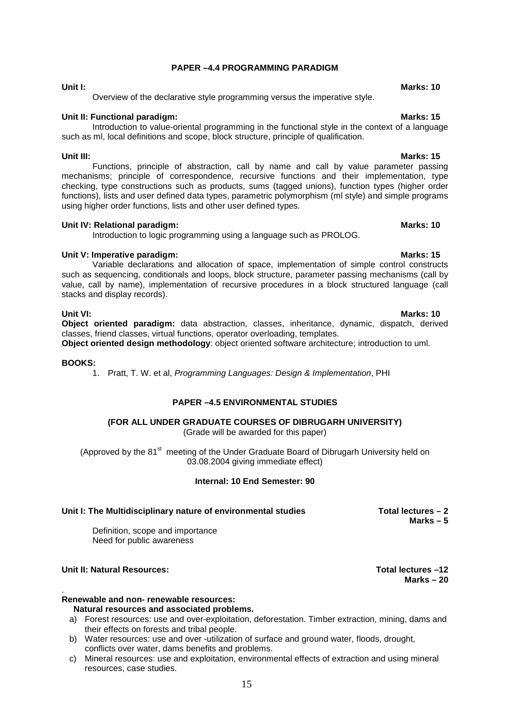### **PAPER –4.4 PROGRAMMING PARADIGM**

**Unit I:** Marks: 10 Overview of the declarative style programming versus the imperative style.

### **Unit II: Functional paradigm: Marks: 15 Marks: 15**

Introduction to value-oriental programming in the functional style in the context of a language such as ml, local definitions and scope, block structure, principle of qualification.

Functions, principle of abstraction, call by name and call by value parameter passing mechanisms; principle of correspondence, recursive functions and their implementation, type checking, type constructions such as products, sums (tagged unions), function types (higher order functions), lists and user defined data types, parametric polymorphism (ml style) and simple programs using higher order functions, lists and other user defined types.

#### **Unit IV: Relational paradigm: Marks: 10 Marks: 10 Marks: 10**

Introduction to logic programming using a language such as PROLOG.

### **Unit V: Imperative paradigm: Marks: 15**

Variable declarations and allocation of space, implementation of simple control constructs such as sequencing, conditionals and loops, block structure, parameter passing mechanisms (call by value, call by name), implementation of recursive procedures in a block structured language (call stacks and display records).

**Unit VI: Marks: 10 Object oriented paradigm:** data abstraction, classes, inheritance, dynamic, dispatch, derived classes, friend classes, virtual functions, operator overloading, templates.

**Object oriented design methodology**: object oriented software architecture; introduction to uml.

#### **BOOKS:**

1. Pratt, T. W. et al, *Programming Languages: Design & Implementation*, PHI

### **PAPER –4.5 ENVIRONMENTAL STUDIES**

### **(FOR ALL UNDER GRADUATE COURSES OF DIBRUGARH UNIVERSITY)**

(Grade will be awarded for this paper)

(Approved by the  $81<sup>st</sup>$  meeting of the Under Graduate Board of Dibrugarh University held on 03.08.2004 giving immediate effect)

#### **Internal: 10 End Semester: 90**

#### Unit I: The Multidisciplinary nature of environmental studies **Total lectures** – 2

Definition, scope and importance Need for public awareness

### **Unit II: Natural Resources: Total lectures –12**

#### . **Renewable and non- renewable resources:**

#### **Natural resources and associated problems.**

- a) Forest resources: use and over-exploitation, deforestation. Timber extraction, mining, dams and their effects on forests and tribal people.
- b) Water resources: use and over -utilization of surface and ground water, floods, drought, conflicts over water, dams benefits and problems.
- c) Mineral resources: use and exploitation, environmental effects of extraction and using mineral resources, case studies.

#### **Unit III: Marks: 15**

**Marks – 5** 

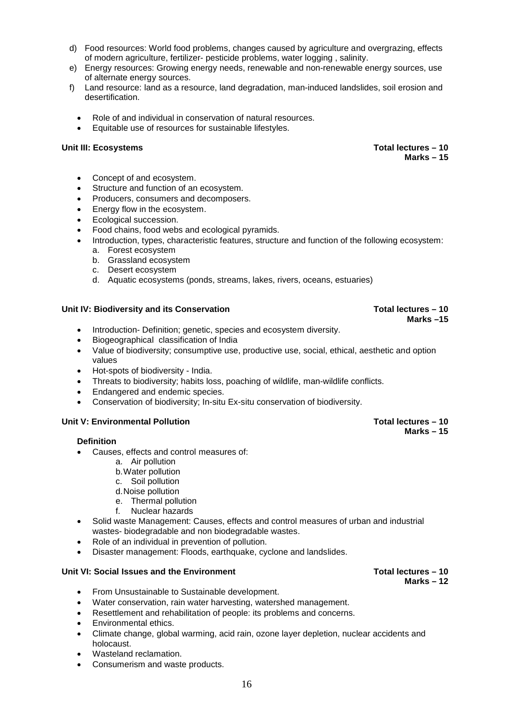- d) Food resources: World food problems, changes caused by agriculture and overgrazing, effects of modern agriculture, fertilizer- pesticide problems, water logging , salinity.
- e) Energy resources: Growing energy needs, renewable and non-renewable energy sources, use of alternate energy sources.
- f) Land resource: land as a resource, land degradation, man-induced landslides, soil erosion and desertification.
	- Role of and individual in conservation of natural resources.
	- Equitable use of resources for sustainable lifestyles.

#### **Unit III: Ecosystems Total lectures – 10**

- Concept of and ecosystem.
- Structure and function of an ecosystem.
- Producers, consumers and decomposers.
- Energy flow in the ecosystem.
- Ecological succession.
- Food chains, food webs and ecological pyramids.
- Introduction, types, characteristic features, structure and function of the following ecosystem:
	- a. Forest ecosystem
	- b. Grassland ecosystem
	- c. Desert ecosystem
	- d. Aquatic ecosystems (ponds, streams, lakes, rivers, oceans, estuaries)

#### Unit IV: Biodiversity and its Conservation **Total lectures – 10 Total lectures – 10**

- Introduction- Definition; genetic, species and ecosystem diversity.
- Biogeographical classification of India
- Value of biodiversity; consumptive use, productive use, social, ethical, aesthetic and option values
- Hot-spots of biodiversity India.
- Threats to biodiversity; habits loss, poaching of wildlife, man-wildlife conflicts.
- Endangered and endemic species.
- Conservation of biodiversity; In-situ Ex-situ conservation of biodiversity.

#### **Unit V: Environmental Pollution Total lectures – 10**

#### **Definition**

- Causes, effects and control measures of:
	- a. Air pollution
	- b.Water pollution
	- c. Soil pollution
	- d.Noise pollution
	- e. Thermal pollution
	- f. Nuclear hazards
- Solid waste Management: Causes, effects and control measures of urban and industrial wastes- biodegradable and non biodegradable wastes.
- Role of an individual in prevention of pollution.
- Disaster management: Floods, earthquake, cyclone and landslides.

#### **Unit VI: Social Issues and the Environment Total lectures – 10**

- From Unsustainable to Sustainable development.
- Water conservation, rain water harvesting, watershed management.
- Resettlement and rehabilitation of people: its problems and concerns.
- Environmental ethics.
- Climate change, global warming, acid rain, ozone layer depletion, nuclear accidents and holocaust.
- Wasteland reclamation.
- Consumerism and waste products.

#### 16

## **Marks – 15**

**Marks –15** 

## **Marks – 15**

## **Marks – 12**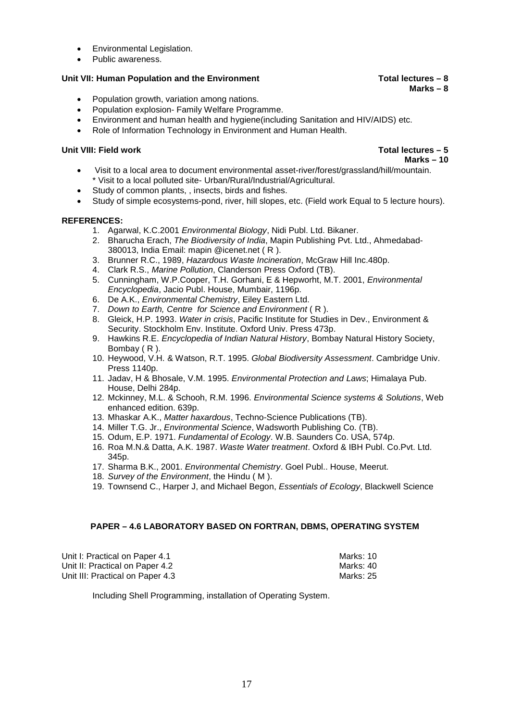- Environmental Legislation.
- Public awareness.

### **Unit VII: Human Population and the Environment Total lectures – 8**

- Population growth, variation among nations.
- Population explosion- Family Welfare Programme.
- Environment and human health and hygiene(including Sanitation and HIV/AIDS) etc.
- Role of Information Technology in Environment and Human Health.

#### **Unit VIII: Field work Total lectures – 5**

## **Marks – 10**

**Marks – 8** 

- Visit to a local area to document environmental asset-river/forest/grassland/hill/mountain. \* Visit to a local polluted site- Urban/Rural/Industrial/Agricultural.
- Study of common plants, , insects, birds and fishes.
- Study of simple ecosystems-pond, river, hill slopes, etc. (Field work Equal to 5 lecture hours).

### **REFERENCES:**

- 1. Agarwal, K.C.2001 *Environmental Biology*, Nidi Publ. Ltd. Bikaner.
- 2. Bharucha Erach, *The Biodiversity of India*, Mapin Publishing Pvt. Ltd., Ahmedabad-380013, India Email: mapin @icenet.net ( R ).
- 3. Brunner R.C., 1989, *Hazardous Waste Incineration*, McGraw Hill Inc.480p.
- 4. Clark R.S., *Marine Pollution*, Clanderson Press Oxford (TB).
- 5. Cunningham, W.P.Cooper, T.H. Gorhani, E & Hepworht, M.T. 2001, *Environmental Encyclopedia*, Jacio Publ. House, Mumbair, 1196p.
- 6. De A.K., *Environmental Chemistry*, Eiley Eastern Ltd.
- 7. *Down to Earth, Centre for Science and Environment* ( R ).
- 8. Gleick, H.P. 1993. *Water in crisis*, Pacific Institute for Studies in Dev., Environment & Security. Stockholm Env. Institute. Oxford Univ. Press 473p.
- 9. Hawkins R.E. *Encyclopedia of Indian Natural History*, Bombay Natural History Society, Bombay ( R ).
- 10. Heywood, V.H. & Watson, R.T. 1995. *Global Biodiversity Assessment*. Cambridge Univ. Press 1140p.
- 11. Jadav, H & Bhosale, V.M. 1995. *Environmental Protection and Laws*; Himalaya Pub. House, Delhi 284p.
- 12. Mckinney, M.L. & Schooh, R.M. 1996. *Environmental Science systems & Solutions*, Web enhanced edition. 639p.
- 13. Mhaskar A.K., *Matter haxardous*, Techno-Science Publications (TB).
- 14. Miller T.G. Jr., *Environmental Science*, Wadsworth Publishing Co. (TB).
- 15. Odum, E.P. 1971. *Fundamental of Ecology*. W.B. Saunders Co. USA, 574p.
- 16. Roa M.N.& Datta, A.K. 1987. *Waste Water treatment*. Oxford & IBH Publ. Co.Pvt. Ltd. 345p.
- 17. Sharma B.K., 2001. *Environmental Chemistry*. Goel Publ.. House, Meerut.
- 18. *Survey of the Environment*, the Hindu ( M ).
- 19. Townsend C., Harper J, and Michael Begon, *Essentials of Ecology*, Blackwell Science

#### **PAPER – 4.6 LABORATORY BASED ON FORTRAN, DBMS, OPERATING SYSTEM**

| Unit I: Practical on Paper 4.1   | Marks: 10 |
|----------------------------------|-----------|
| Unit II: Practical on Paper 4.2  | Marks: 40 |
| Unit III: Practical on Paper 4.3 | Marks: 25 |

Including Shell Programming, installation of Operating System.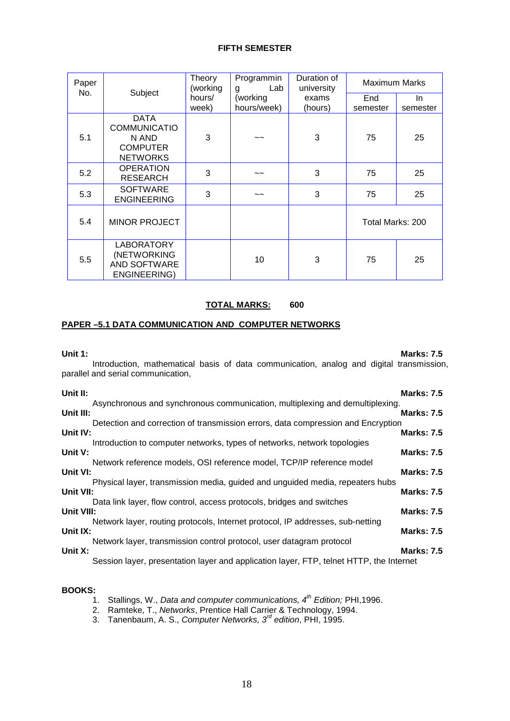#### **FIFTH SEMESTER**

| Paper<br>No. | Subject                                                                           | Theory<br>(working | Programmin<br>Lab<br>g    | Duration of<br>university | Maximum Marks    |                 |
|--------------|-----------------------------------------------------------------------------------|--------------------|---------------------------|---------------------------|------------------|-----------------|
|              |                                                                                   | hours/<br>week)    | (working<br>hours/week)   | exams<br>(hours)          | End<br>semester  | In.<br>semester |
| 5.1          | <b>DATA</b><br><b>COMMUNICATIO</b><br>N AND<br><b>COMPUTER</b><br><b>NETWORKS</b> | 3                  | $\sim$ $\sim$             | 3                         | 75               | 25              |
| 5.2          | <b>OPERATION</b><br><b>RESEARCH</b>                                               | 3                  | $\widetilde{\phantom{a}}$ | 3                         | 75               | 25              |
| 5.3          | <b>SOFTWARE</b><br><b>ENGINEERING</b>                                             | 3                  | ~~                        | 3                         | 75               | 25              |
| 5.4          | <b>MINOR PROJECT</b>                                                              |                    |                           |                           | Total Marks: 200 |                 |
| 5.5          | <b>LABORATORY</b><br>(NETWORKING<br>AND SOFTWARE<br>ENGINEERING)                  |                    | 10                        | 3                         | 75               | 25              |

### **TOTAL MARKS: 600**

#### **PAPER –5.1 DATA COMMUNICATION AND COMPUTER NETWORKS**

#### **Unit 1: Marks: 7.5**

Introduction, mathematical basis of data communication, analog and digital transmission, parallel and serial communication,

| Unit II:   |                                                                                         | <b>Marks: 7.5</b> |
|------------|-----------------------------------------------------------------------------------------|-------------------|
|            | Asynchronous and synchronous communication, multiplexing and demultiplexing.            |                   |
| Unit III:  | Detection and correction of transmission errors, data compression and Encryption        | <b>Marks: 7.5</b> |
| Unit IV:   |                                                                                         | <b>Marks: 7.5</b> |
|            | Introduction to computer networks, types of networks, network topologies                |                   |
| Unit V:    | Network reference models, OSI reference model, TCP/IP reference model                   | <b>Marks: 7.5</b> |
| Unit VI:   |                                                                                         | <b>Marks: 7.5</b> |
|            | Physical layer, transmission media, guided and unguided media, repeaters hubs           |                   |
| Unit VII:  | Data link layer, flow control, access protocols, bridges and switches                   | <b>Marks: 7.5</b> |
| Unit VIII: |                                                                                         | <b>Marks: 7.5</b> |
|            | Network layer, routing protocols, Internet protocol, IP addresses, sub-netting          |                   |
| Unit IX:   |                                                                                         | <b>Marks: 7.5</b> |
| Unit X:    | Network layer, transmission control protocol, user datagram protocol                    | <b>Marks: 7.5</b> |
|            | Session layer, presentation layer and application layer, FTP, telnet HTTP, the Internet |                   |

#### **BOOKS:**

- 1. Stallings, W., *Data and computer communications, 4th Edition;* PHI,1996.
- 2. Ramteke, T., *Networks*, Prentice Hall Carrier & Technology, 1994.
- 3. Tanenbaum, A. S., *Computer Networks, 3rd edition*, PHI, 1995.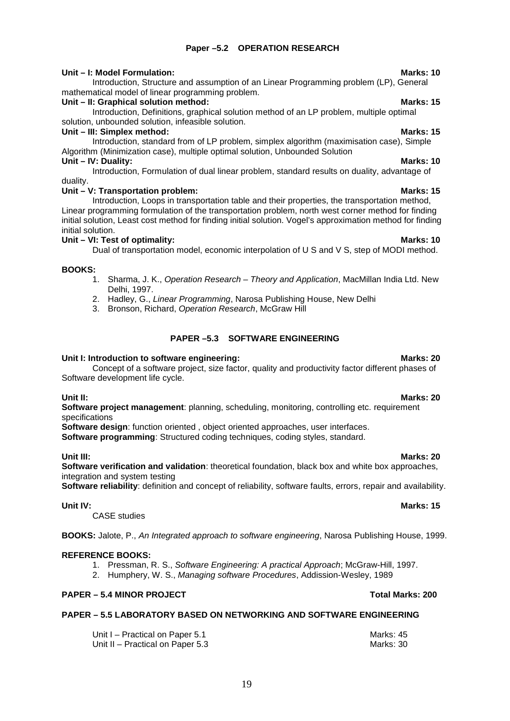### **Paper –5.2 OPERATION RESEARCH**

### **Unit – I: Model Formulation: Marks: 10**

Introduction, Structure and assumption of an Linear Programming problem (LP), General mathematical model of linear programming problem.

### Unit – II: Graphical solution method: **Marks: 15** Marks: 15

Introduction, Definitions, graphical solution method of an LP problem, multiple optimal solution, unbounded solution, infeasible solution.

### **Unit – III: Simplex method: Marks: 15**

Introduction, standard from of LP problem, simplex algorithm (maximisation case), Simple Algorithm (Minimization case), multiple optimal solution, Unbounded Solution **Unit – IV: Duality: Marks: 10**

Introduction, Formulation of dual linear problem, standard results on duality, advantage of duality.

### **Unit – V: Transportation problem: Marks: 15**

Introduction, Loops in transportation table and their properties, the transportation method, Linear programming formulation of the transportation problem, north west corner method for finding initial solution, Least cost method for finding initial solution. Vogel's approximation method for finding initial solution.

### **Unit – VI: Test of optimality: Marks: 10**

Dual of transportation model, economic interpolation of U S and V S, step of MODI method.

### **BOOKS:**

- 1. Sharma, J. K., *Operation Research Theory and Application*, MacMillan India Ltd. New Delhi, 1997.
- 2. Hadley, G., *Linear Programming*, Narosa Publishing House, New Delhi
- 3. Bronson, Richard, *Operation Research*, McGraw Hill

### **PAPER –5.3 SOFTWARE ENGINEERING**

### Unit I: Introduction to software engineering: National Communication of the Marks: 20

Concept of a software project, size factor, quality and productivity factor different phases of Software development life cycle.

**Unit II: Marks: 20 Software project management:** planning, scheduling, monitoring, controlling etc. requirement specifications

**Software design**: function oriented , object oriented approaches, user interfaces. **Software programming**: Structured coding techniques, coding styles, standard.

**Unit III: Marks: 20 Software verification and validation**: theoretical foundation, black box and white box approaches, integration and system testing

**Software reliability**: definition and concept of reliability, software faults, errors, repair and availability.

CASE studies

**BOOKS:** Jalote, P., *An Integrated approach to software engineering*, Narosa Publishing House, 1999.

### **REFERENCE BOOKS:**

- 1. Pressman, R. S., *Software Engineering: A practical Approach*; McGraw-Hill, 1997.
- 2. Humphery, W. S., *Managing software Procedures*, Addission-Wesley, 1989

### **PAPER – 5.4 MINOR PROJECT Total Marks: 200**

### **PAPER – 5.5 LABORATORY BASED ON NETWORKING AND SOFTWARE ENGINEERING**

| Unit I - Practical on Paper 5.1  | Marks: 45 |
|----------------------------------|-----------|
| Unit II - Practical on Paper 5.3 | Marks: 30 |

### **Unit IV: Marks: 15**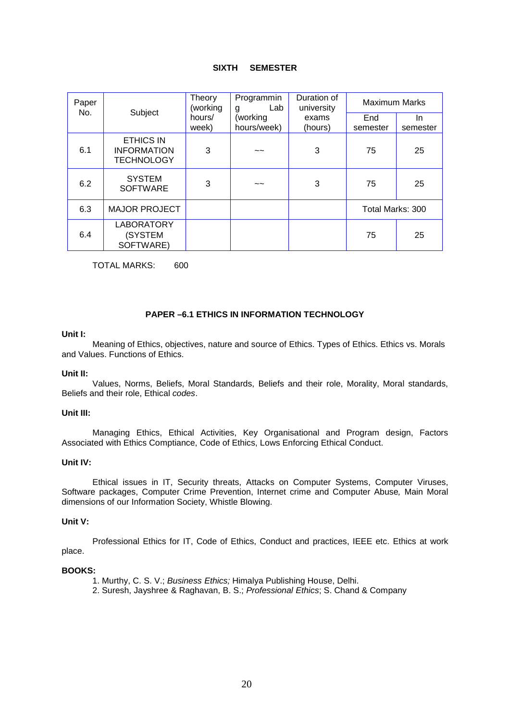#### **SIXTH SEMESTER**

| Paper<br>No. | Subject                                                     | Theory<br>(working | Programmin<br>Lab<br>g | Duration of<br>university | <b>Maximum Marks</b> |          |
|--------------|-------------------------------------------------------------|--------------------|------------------------|---------------------------|----------------------|----------|
|              |                                                             | hours/             | (working               | exams                     | End                  | In.      |
|              |                                                             | week)              | hours/week)            | (hours)                   | semester             | semester |
| 6.1          | <b>ETHICS IN</b><br><b>INFORMATION</b><br><b>TECHNOLOGY</b> | 3                  | $\sim$                 | 3                         | 75                   | 25       |
| 6.2          | <b>SYSTEM</b><br><b>SOFTWARE</b>                            | 3                  | $\sim$                 | 3                         | 75                   | 25       |
| 6.3          | <b>MAJOR PROJECT</b>                                        |                    |                        |                           | Total Marks: 300     |          |
| 6.4          | <b>LABORATORY</b><br>(SYSTEM<br>SOFTWARE)                   |                    |                        |                           | 75                   | 25       |

TOTAL MARKS: 600

#### **PAPER –6.1 ETHICS IN INFORMATION TECHNOLOGY**

#### **Unit I:**

Meaning of Ethics, objectives, nature and source of Ethics. Types of Ethics. Ethics vs. Morals and Values. Functions of Ethics.

#### **Unit II:**

Values, Norms, Beliefs, Moral Standards, Beliefs and their role, Morality, Moral standards, Beliefs and their role, Ethical *codes*.

#### **Unit III:**

Managing Ethics, Ethical Activities, Key Organisational and Program design, Factors Associated with Ethics Comptiance, Code of Ethics, Lows Enforcing Ethical Conduct.

#### **Unit IV:**

Ethical issues in IT, Security threats, Attacks on Computer Systems, Computer Viruses, Software packages, Computer Crime Prevention, Internet crime and Computer Abuse*,* Main Moral dimensions of our Information Society, Whistle Blowing.

#### **Unit V:**

Professional Ethics for IT, Code of Ethics, Conduct and practices, IEEE etc. Ethics at work place.

#### **BOOKS:**

- 1. Murthy, C. S. V.; *Business Ethics;* Himalya Publishing House, Delhi.
- 2. Suresh, Jayshree & Raghavan, B. S.; *Professional Ethics*; S. Chand & Company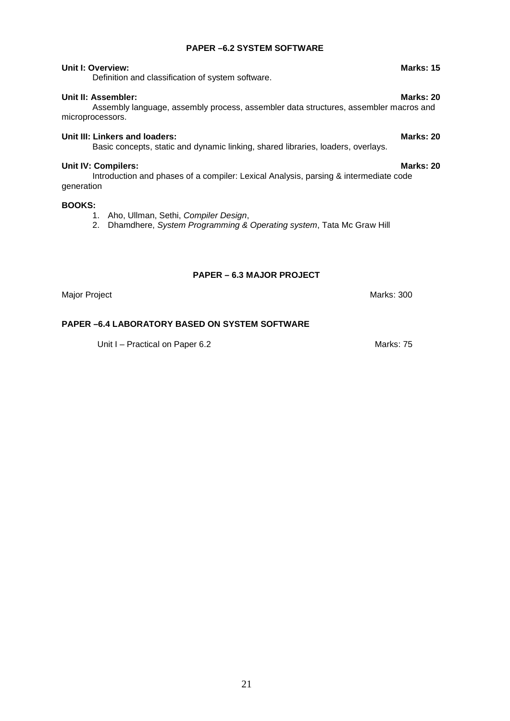#### **PAPER –6.2 SYSTEM SOFTWARE**

#### **Unit I: Overview: Marks: 15**

Definition and classification of system software.

#### **Unit II: Assembler: Marks: 20**

#### Assembly language, assembly process, assembler data structures, assembler macros and microprocessors.

### **Unit III: Linkers and loaders: Marks: 20**

#### Basic concepts, static and dynamic linking, shared libraries, loaders, overlays.

#### **Unit IV: Compilers: Marks: 20**

Introduction and phases of a compiler: Lexical Analysis, parsing & intermediate code generation

#### **BOOKS:**

- 1. Aho, Ullman, Sethi, *Compiler Design*,
- 2. Dhamdhere, *System Programming & Operating system*, Tata Mc Graw Hill

#### **PAPER – 6.3 MAJOR PROJECT**

Major Project **Marks: 300** 

#### **PAPER –6.4 LABORATORY BASED ON SYSTEM SOFTWARE**

Unit I – Practical on Paper 6.2 Marks: 75